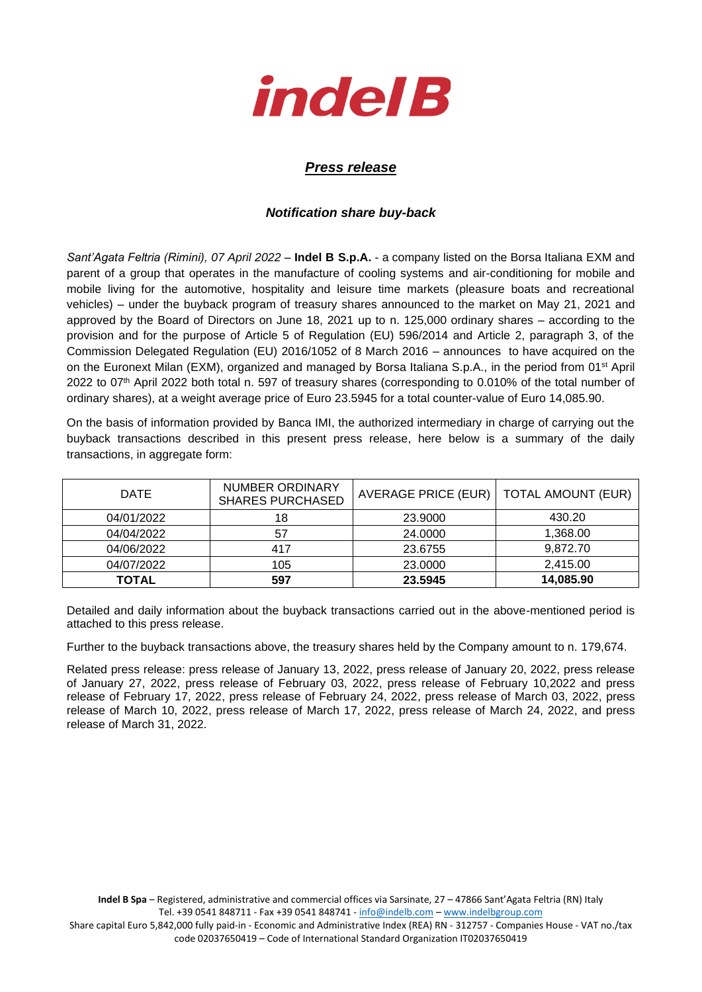

## *Press release*

## *Notification share buy-back*

*Sant'Agata Feltria (Rimini), 07 April 2022* – **Indel B S.p.A.** - a company listed on the Borsa Italiana EXM and parent of a group that operates in the manufacture of cooling systems and air-conditioning for mobile and mobile living for the automotive, hospitality and leisure time markets (pleasure boats and recreational vehicles) – under the buyback program of treasury shares announced to the market on May 21, 2021 and approved by the Board of Directors on June 18, 2021 up to n. 125,000 ordinary shares – according to the provision and for the purpose of Article 5 of Regulation (EU) 596/2014 and Article 2, paragraph 3, of the Commission Delegated Regulation (EU) 2016/1052 of 8 March 2016 – announces to have acquired on the on the Euronext Milan (EXM), organized and managed by Borsa Italiana S.p.A., in the period from 01<sup>st</sup> April 2022 to 07th April 2022 both total n. 597 of treasury shares (corresponding to 0.010% of the total number of ordinary shares), at a weight average price of Euro 23.5945 for a total counter-value of Euro 14,085.90.

On the basis of information provided by Banca IMI, the authorized intermediary in charge of carrying out the buyback transactions described in this present press release, here below is a summary of the daily transactions, in aggregate form:

| <b>DATE</b> | <b>NUMBER ORDINARY</b><br><b>SHARES PURCHASED</b> | AVERAGE PRICE (EUR) | TOTAL AMOUNT (EUR) |
|-------------|---------------------------------------------------|---------------------|--------------------|
| 04/01/2022  | 18                                                | 23,9000             | 430.20             |
| 04/04/2022  | 57                                                | 24,0000             | 1,368.00           |
| 04/06/2022  | 417                                               | 23.6755             | 9.872.70           |
| 04/07/2022  | 105                                               | 23,0000             | 2,415.00           |
| TOTAL       | 597                                               | 23.5945             | 14,085.90          |

Detailed and daily information about the buyback transactions carried out in the above-mentioned period is attached to this press release.

Further to the buyback transactions above, the treasury shares held by the Company amount to n. 179,674.

Related press release: press release of January 13, 2022, press release of January 20, 2022, press release of January 27, 2022, press release of February 03, 2022, press release of February 10,2022 and press release of February 17, 2022, press release of February 24, 2022, press release of March 03, 2022, press release of March 10, 2022, press release of March 17, 2022, press release of March 24, 2022, and press release of March 31, 2022.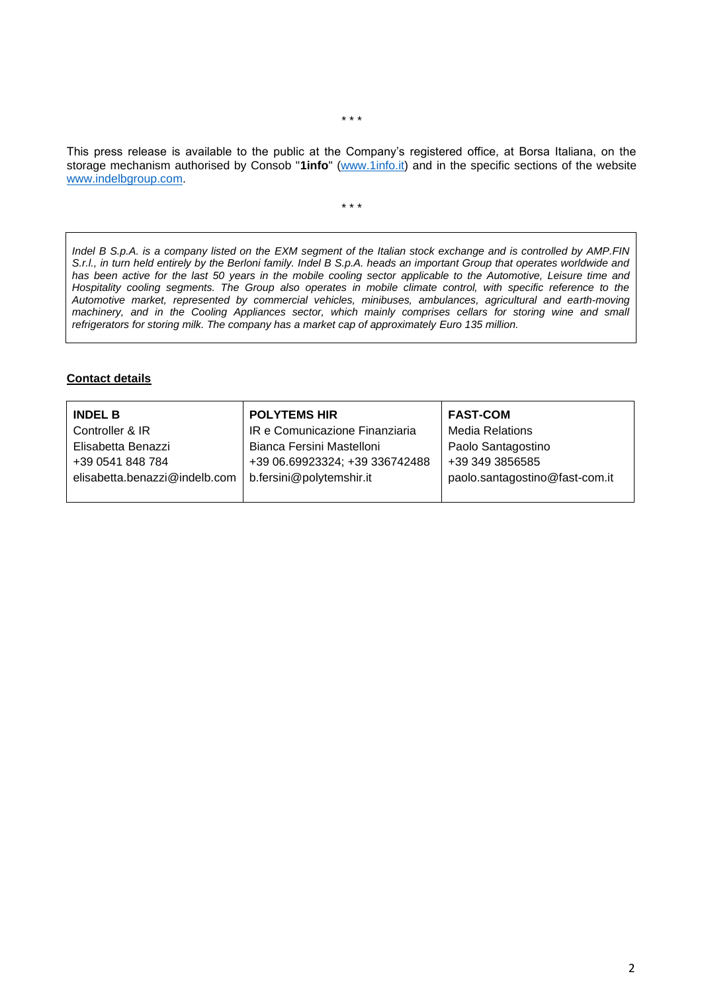This press release is available to the public at the Company's registered office, at Borsa Italiana, on the storage mechanism authorised by Consob "**1info**" [\(www.1info.it\)](file:///C:/Users/ddelietovollaro/AppData/Local/Microsoft/Windows/INetCache/Content.Outlook/T87B94UR/www.1info.it) and in the specific sections of the website [www.indelbgroup.com.](http://www.indelbgroup.com/)

\* \* \*

*Indel B S.p.A. is a company listed on the EXM segment of the Italian stock exchange and is controlled by AMP.FIN S.r.l., in turn held entirely by the Berloni family. Indel B S.p.A. heads an important Group that operates worldwide and has been active for the last 50 years in the mobile cooling sector applicable to the Automotive, Leisure time and Hospitality cooling segments. The Group also operates in mobile climate control, with specific reference to the Automotive market, represented by commercial vehicles, minibuses, ambulances, agricultural and earth-moving machinery, and in the Cooling Appliances sector, which mainly comprises cellars for storing wine and small refrigerators for storing milk. The company has a market cap of approximately Euro 135 million.*

## **Contact details**

| <b>INDEL B</b>                | <b>POLYTEMS HIR</b>            | <b>FAST-COM</b>                |
|-------------------------------|--------------------------------|--------------------------------|
| Controller & IR               | IR e Comunicazione Finanziaria | <b>Media Relations</b>         |
| Elisabetta Benazzi            | Bianca Fersini Mastelloni      | Paolo Santagostino             |
| +39 0541 848 784              | +39 06.69923324; +39 336742488 | +39 349 3856585                |
| elisabetta.benazzi@indelb.com | b.fersini@polytemshir.it       | paolo.santagostino@fast-com.it |
|                               |                                |                                |

\* \* \*